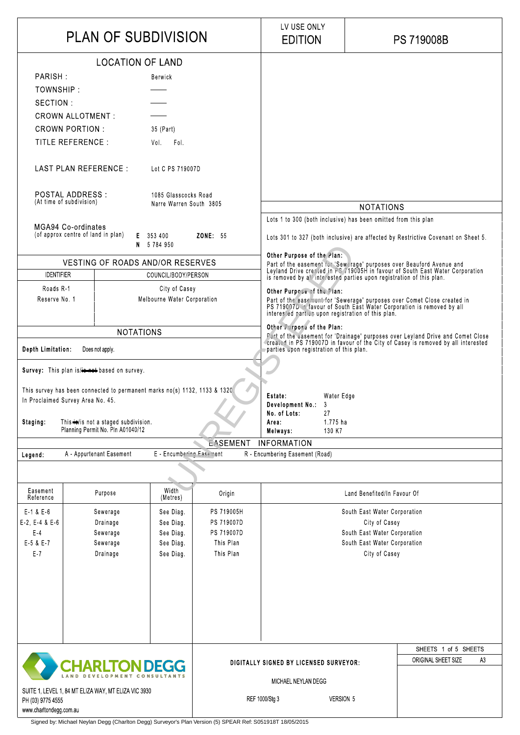|                                                                                                                       | - <u>.</u> . | --- - - <sub>7</sub> |                                        |                | .                   |                      |  |
|-----------------------------------------------------------------------------------------------------------------------|--------------|----------------------|----------------------------------------|----------------|---------------------|----------------------|--|
|                                                                                                                       |              |                      |                                        |                |                     |                      |  |
|                                                                                                                       |              |                      |                                        |                |                     | SHEETS 1 of 5 SHEETS |  |
| CHARLTON DEGG<br>SUITE 1, LEVEL 1, 84 MT ELIZA WAY, MT ELIZA VIC 3930<br>PH (03) 9775 4555<br>www.charltondegg.com.au |              |                      | DIGITALLY SIGNED BY LICENSED SURVEYOR: |                | ORIGINAL SHEET SIZE | A3                   |  |
|                                                                                                                       |              |                      | MICHAEL NEYLAN DEGG                    |                |                     |                      |  |
|                                                                                                                       |              |                      |                                        | REF 1000/Stg 3 | <b>VERSION 5</b>    |                      |  |

| <b>PLAN OF SUBDIVISION</b>                                                                                 |                                              |                        | LV USE ONLY<br><b>EDITION</b>                                                                                                                                                                                                                                                                                                                                                                                                                                                        | <b>PS 719008B</b>                             |  |
|------------------------------------------------------------------------------------------------------------|----------------------------------------------|------------------------|--------------------------------------------------------------------------------------------------------------------------------------------------------------------------------------------------------------------------------------------------------------------------------------------------------------------------------------------------------------------------------------------------------------------------------------------------------------------------------------|-----------------------------------------------|--|
| <b>LOCATION OF LAND</b>                                                                                    |                                              |                        |                                                                                                                                                                                                                                                                                                                                                                                                                                                                                      |                                               |  |
| PARISH:                                                                                                    | Berwick                                      |                        |                                                                                                                                                                                                                                                                                                                                                                                                                                                                                      |                                               |  |
| TOWNSHIP                                                                                                   |                                              |                        |                                                                                                                                                                                                                                                                                                                                                                                                                                                                                      |                                               |  |
| SECTION:                                                                                                   |                                              |                        |                                                                                                                                                                                                                                                                                                                                                                                                                                                                                      |                                               |  |
| <b>CROWN ALLOTMENT:</b>                                                                                    |                                              |                        |                                                                                                                                                                                                                                                                                                                                                                                                                                                                                      |                                               |  |
| <b>CROWN PORTION:</b>                                                                                      | 35 (Part)                                    |                        |                                                                                                                                                                                                                                                                                                                                                                                                                                                                                      |                                               |  |
| TITLE REFERENCE :                                                                                          | Vol.<br>Fol.                                 |                        |                                                                                                                                                                                                                                                                                                                                                                                                                                                                                      |                                               |  |
|                                                                                                            |                                              |                        |                                                                                                                                                                                                                                                                                                                                                                                                                                                                                      |                                               |  |
| LAST PLAN REFERENCE :                                                                                      | Lot C PS 719007D                             |                        |                                                                                                                                                                                                                                                                                                                                                                                                                                                                                      |                                               |  |
| POSTAL ADDRESS :                                                                                           | 1085 Glasscocks Road                         |                        |                                                                                                                                                                                                                                                                                                                                                                                                                                                                                      |                                               |  |
| (At time of subdivision)<br>Narre Warren South 3805                                                        |                                              |                        |                                                                                                                                                                                                                                                                                                                                                                                                                                                                                      | <b>NOTATIONS</b>                              |  |
|                                                                                                            |                                              |                        | Lots 1 to 300 (both inclusive) has been omitted from this plan                                                                                                                                                                                                                                                                                                                                                                                                                       |                                               |  |
| <b>MGA94 Co-ordinates</b><br>(of approx centre of land in plan)<br>E 353 400                               |                                              |                        |                                                                                                                                                                                                                                                                                                                                                                                                                                                                                      |                                               |  |
|                                                                                                            | N 5784950                                    | <b>ZONE</b> 55         | Lots 301 to 327 (both inclusive) are affected by Restrictive Covenant on Sheet 5.                                                                                                                                                                                                                                                                                                                                                                                                    |                                               |  |
|                                                                                                            |                                              |                        | Other Purpose of the Plan:                                                                                                                                                                                                                                                                                                                                                                                                                                                           |                                               |  |
| <b>VESTING OF ROADS AND/OR RESERVES</b>                                                                    |                                              |                        | Part of the easement for 'Sewerage' purposes over Beauford Avenue and<br>Leyland Drive created in PS 719005H in favour of South East Water Corporation                                                                                                                                                                                                                                                                                                                               |                                               |  |
| <b>IDENTIFIER</b><br>COUNCIL/BODY/PERSON                                                                   |                                              |                        | is removed by all interested parties upon registration of this plan.                                                                                                                                                                                                                                                                                                                                                                                                                 |                                               |  |
| Roads R-1<br>Reserve No. 1                                                                                 | City of Casey<br>Melbourne Water Corporation |                        | Other Purpose of the Plan:<br>Part of the easement for 'Sewerage' purposes over Comet Close created in<br>PS 719007D in favour of South East Water Corporation is removed by all<br>interested parties upon registration of this plan.<br>Other Purpose of the Plan:<br>Part of the easement for 'Drainage' purposes over Leyland Drive and Comet Close created in PS 719007D in favour of the City of Casey is removed by all interested<br>parties upon registration of this plan. |                                               |  |
|                                                                                                            |                                              |                        |                                                                                                                                                                                                                                                                                                                                                                                                                                                                                      |                                               |  |
| <b>NOTATIONS</b>                                                                                           |                                              |                        |                                                                                                                                                                                                                                                                                                                                                                                                                                                                                      |                                               |  |
| Depth Limitation:<br>Does not apply                                                                        |                                              |                        |                                                                                                                                                                                                                                                                                                                                                                                                                                                                                      |                                               |  |
| Survey: This plan is/ is hased on survey.                                                                  |                                              |                        |                                                                                                                                                                                                                                                                                                                                                                                                                                                                                      |                                               |  |
| This survey has been connected to permanent marks no(s) 1132, 1133 & 1320.                                 |                                              |                        |                                                                                                                                                                                                                                                                                                                                                                                                                                                                                      |                                               |  |
| In Proclaimed Survey Area No. 45.                                                                          |                                              |                        | Water Edge<br><b>Estate</b>                                                                                                                                                                                                                                                                                                                                                                                                                                                          |                                               |  |
|                                                                                                            |                                              |                        | Development No.<br>3<br>27<br>No. of Lots:                                                                                                                                                                                                                                                                                                                                                                                                                                           |                                               |  |
| This $\leftrightarrow$ is not a staged subdivision.<br><b>Staging</b><br>Planning Permit No. Pln A01040/12 |                                              |                        | 1 775 ha<br>Area                                                                                                                                                                                                                                                                                                                                                                                                                                                                     |                                               |  |
|                                                                                                            |                                              |                        | 130 K7<br>Melways:<br><b>INFORMATION</b>                                                                                                                                                                                                                                                                                                                                                                                                                                             |                                               |  |
| A - Appurtenant Easement<br>Legend:                                                                        | E - Encumbering Easement                     | <b>EASEMENT</b>        | R - Encumbering Easement (Road)                                                                                                                                                                                                                                                                                                                                                                                                                                                      |                                               |  |
|                                                                                                            |                                              |                        |                                                                                                                                                                                                                                                                                                                                                                                                                                                                                      |                                               |  |
|                                                                                                            |                                              |                        |                                                                                                                                                                                                                                                                                                                                                                                                                                                                                      |                                               |  |
| Easement<br>Purpose<br>Reference                                                                           | Width<br>(Metres)                            | Origin                 |                                                                                                                                                                                                                                                                                                                                                                                                                                                                                      | Land Benefited/In Favour Of                   |  |
| $E - 1$ & $E - 6$<br>Sewerage                                                                              | See Diag.                                    | PS 719005H             |                                                                                                                                                                                                                                                                                                                                                                                                                                                                                      | South East Water Corporation                  |  |
| $E-2$ , $E-4$ & $E-6$<br>Drainage                                                                          | See Diag.                                    | PS 719007D             |                                                                                                                                                                                                                                                                                                                                                                                                                                                                                      | City of Casey                                 |  |
| $E-4$<br>Sewerage                                                                                          | See Diag.                                    | PS 719007D             |                                                                                                                                                                                                                                                                                                                                                                                                                                                                                      | South East Water Corporation                  |  |
| E-5 & E-7<br>Sewerage<br>$E - 7$<br>Drainage                                                               | See Diag.<br>See Diag                        | This Plan<br>This Plan |                                                                                                                                                                                                                                                                                                                                                                                                                                                                                      | South East Water Corporation<br>City of Casey |  |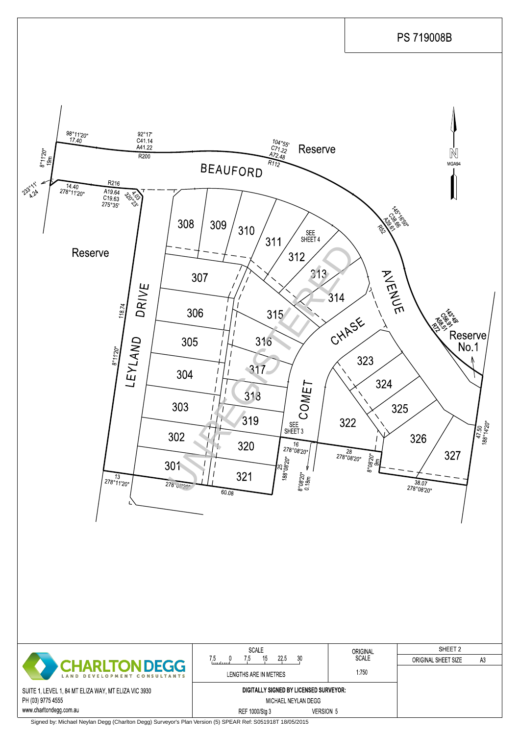|                                                      | <b>SCALE</b>                            | ORIGINAL<br><b>SCALE</b> | SHEET 2             |    |
|------------------------------------------------------|-----------------------------------------|--------------------------|---------------------|----|
| CHARLTON DEGG                                        | 225<br>30<br>15<br>/ 5<br>, 5<br>luutuu |                          | ORIGINAL SHEET SIZE | A3 |
| LAND DEVELOPMENT CONSULTANTS                         | LENGTHS ARE IN METRES                   | 1750                     |                     |    |
| SUITE 1, LEVEL 1, 84 MT ELIZA WAY, MT ELIZA VIC 3930 | DIGITALLY SIGNED BY LICENSED SURVEYOR:  |                          |                     |    |
| PH (03) 9775 4555                                    | MICHAEL NEYLAN DEGG                     |                          |                     |    |
| www.charltondegg.com.au                              | REF 1000/Stg 3<br><b>VERSION 5</b>      |                          |                     |    |

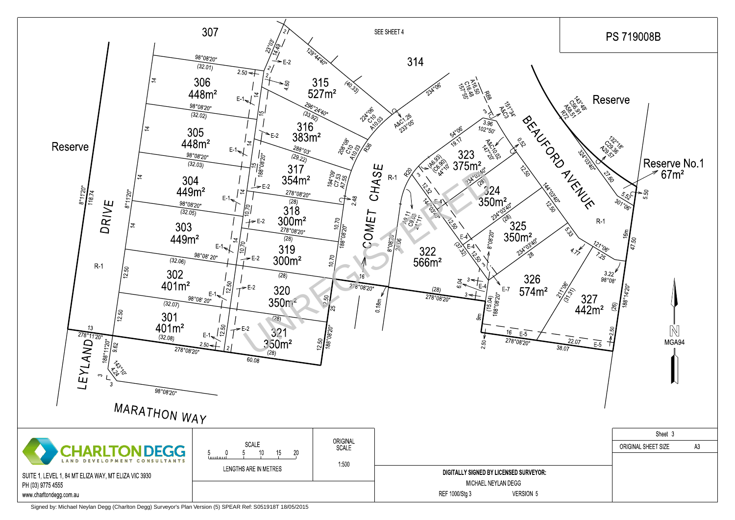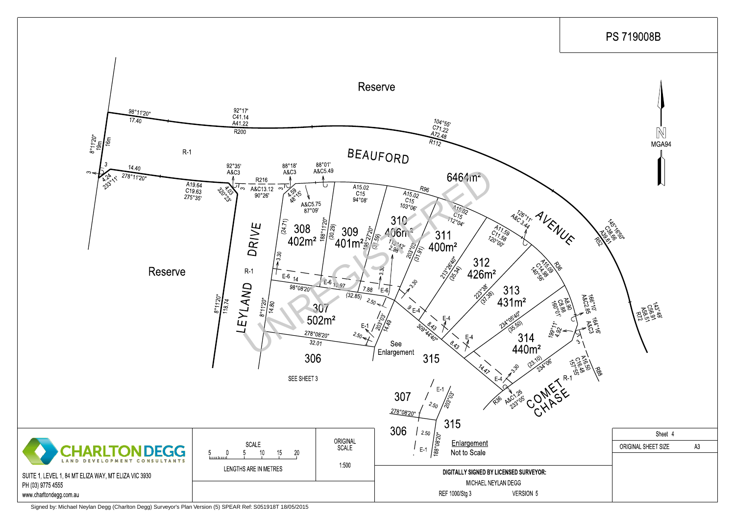